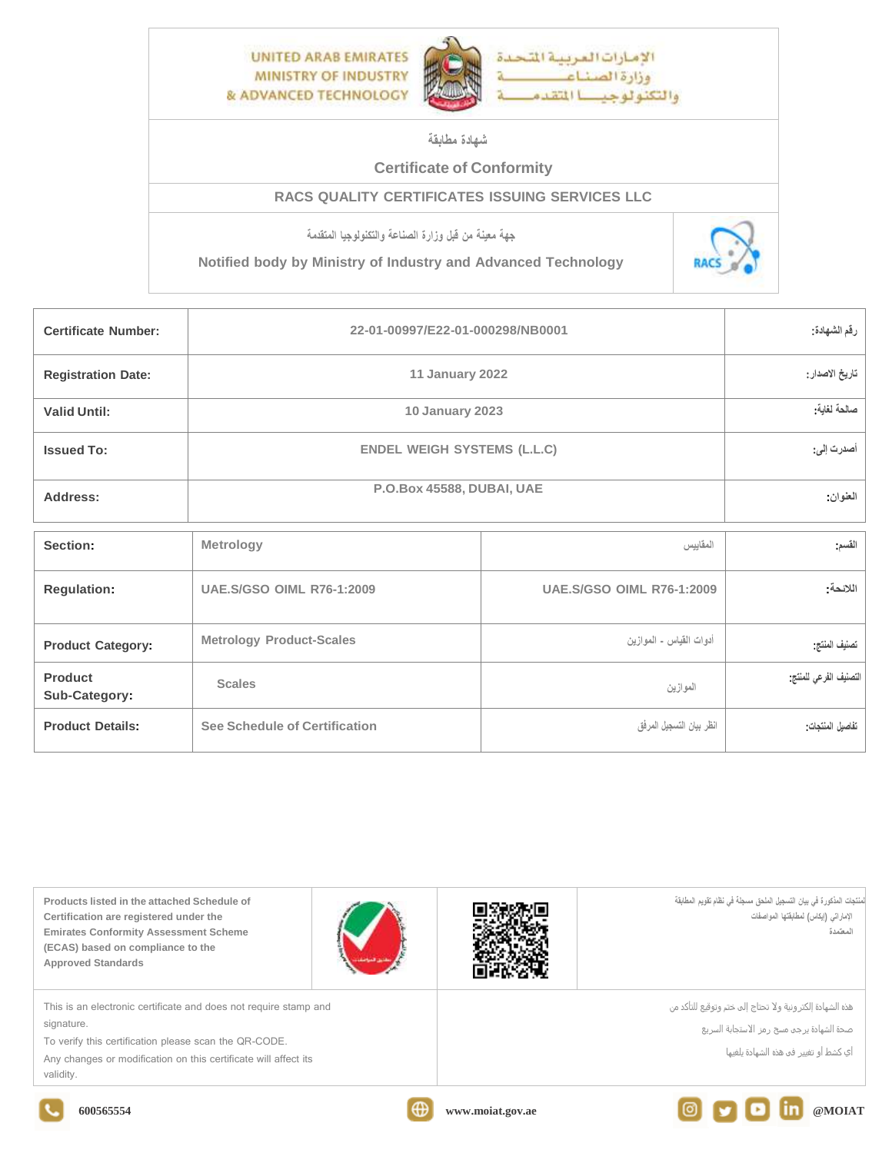

## **شهادة مطابقة**

## **Certificate of Conformity**

## **RACS QUALITY CERTIFICATES ISSUING SERVICES LLC**

**جهة معينة من قبل وزارة الصناعة والتكنولوجيا المتقدمة**

**Notified body by Ministry of Industry and Advanced Technology**



| <b>Certificate Number:</b> | 22-01-00997/E22-01-000298/NB0001   | رقم الشهادة:                     |                        |
|----------------------------|------------------------------------|----------------------------------|------------------------|
| <b>Registration Date:</b>  | 11 January 2022                    | تاريخ الاصدار:                   |                        |
| <b>Valid Until:</b>        | <b>10 January 2023</b>             | صالحة لغاية:                     |                        |
| <b>Issued To:</b>          | <b>ENDEL WEIGH SYSTEMS (L.L.C)</b> | أصدرت إلى:                       |                        |
| Address:                   | P.O.Box 45588, DUBAI, UAE          | العنوان:                         |                        |
| Section:                   | Metrology                          | المقاييس                         | القسم                  |
| <b>Regulation:</b>         | <b>UAE, S/GSO OIML R76-1:2009</b>  | <b>UAE.S/GSO OIML R76-1:2009</b> | اللائحة:               |
| <b>Product Category:</b>   | <b>Metrology Product-Scales</b>    | أدوات القياس - الموازين          | تصنيف المنتج           |
| Product<br>Sub-Category:   | <b>Scales</b>                      | الموازين                         | التصنيف الفرعى للمنتج: |
| <b>Product Details:</b>    | See Schedule of Certification      | انظر بيان التسجيل المرفق         | تفاصيل المنتجات        |